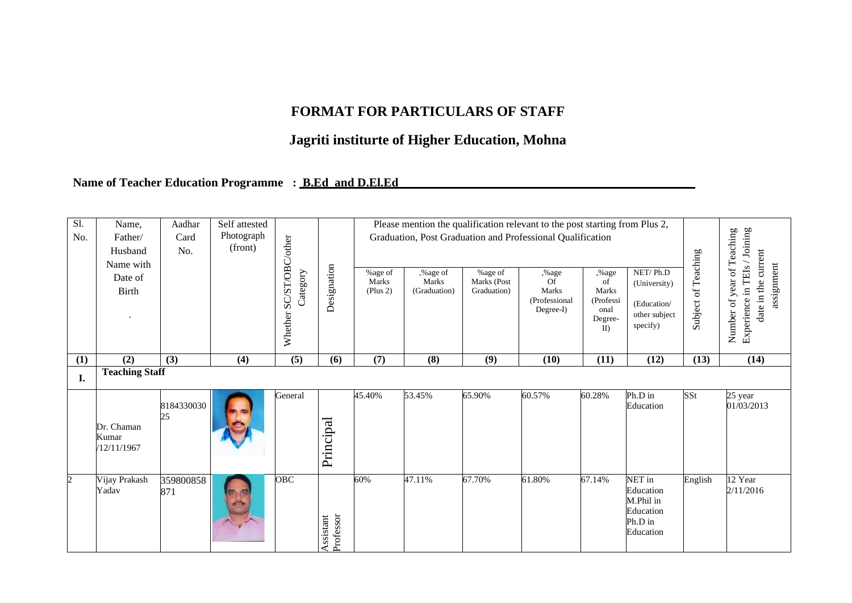## **FORMAT FOR PARTICULARS OF STAFF**

## **Jagriti institurte of Higher Education, Mohna**

## **Name of Teacher Education Programme : B.Ed and D.El.Ed**

| Sl.<br>No.     | Name,<br>Father/<br>Husband<br>Name with<br>Date of<br>Birth | Aadhar<br>Card<br>No. | Self attested<br>Photograph<br>(front) | /other<br>SC/ST/OBC<br>Category<br>Whether | Designation            | Please mention the qualification relevant to the post starting from Plus 2,<br>Graduation, Post Graduation and Professional Qualification<br>NET/Ph.D<br>%age of<br>,%age of<br>%age of<br>,%age<br>,%age<br>Marks<br>Of<br>Marks<br>Marks (Post<br>of<br>(University)<br>Graduation)<br><b>Marks</b><br>Marks<br>(Plus 2)<br>(Graduation)<br>(Professional<br>(Professi<br>(Education/<br>$Degree-I)$<br>onal<br>other subject<br>Degree-<br>specify)<br>$\mathbf{I}$ |        |        |        |        |                                                                       |         | of Teaching<br>/ Joining<br>date in the current<br>assignment<br>in TEIs<br>year<br>Experience<br>Number of |
|----------------|--------------------------------------------------------------|-----------------------|----------------------------------------|--------------------------------------------|------------------------|------------------------------------------------------------------------------------------------------------------------------------------------------------------------------------------------------------------------------------------------------------------------------------------------------------------------------------------------------------------------------------------------------------------------------------------------------------------------|--------|--------|--------|--------|-----------------------------------------------------------------------|---------|-------------------------------------------------------------------------------------------------------------|
| (1)            | $\overline{(2)}$                                             | $\overline{(3)}$      | (4)                                    | $\overline{(5)}$                           | (6)                    | $\overline{(7)}$                                                                                                                                                                                                                                                                                                                                                                                                                                                       | (8)    | (9)    | (10)   | (11)   | $\overline{(12)}$                                                     | (13)    | (14)                                                                                                        |
| I.             | <b>Teaching Staff</b>                                        |                       |                                        |                                            |                        |                                                                                                                                                                                                                                                                                                                                                                                                                                                                        |        |        |        |        |                                                                       |         |                                                                                                             |
|                | Dr. Chaman<br>Kumar<br>/12/11/1967                           | 8184330030<br>25      |                                        | General                                    | Principal              | 45.40%                                                                                                                                                                                                                                                                                                                                                                                                                                                                 | 53.45% | 65.90% | 60.57% | 60.28% | Ph.D in<br>Education                                                  | SSt     | 25 year<br>01/03/2013                                                                                       |
| $\overline{2}$ | Vijay Prakash<br>Yadav                                       | 359800858<br>871      |                                        | <b>OBC</b>                                 | Professor<br>Assistant | 60%                                                                                                                                                                                                                                                                                                                                                                                                                                                                    | 47.11% | 67.70% | 61.80% | 67.14% | NET in<br>Education<br>M.Phil in<br>Education<br>Ph.D in<br>Education | English | 12 Year<br>2/11/2016                                                                                        |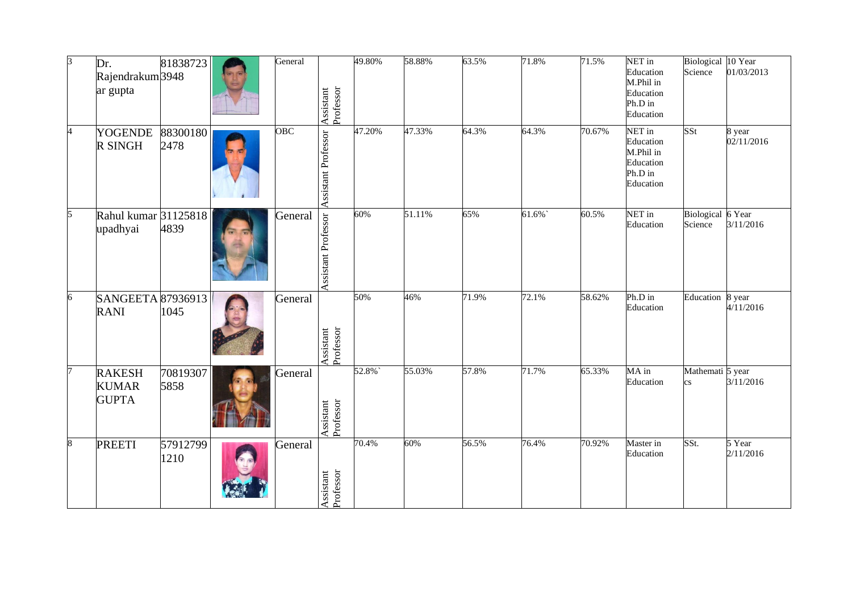| $\beta$ | Dr.<br>Rajendrakum 3948<br>ar gupta           | 81838723         | General | Assistant<br>Professor | 49.80% | 58.88% | 63.5% | 71.8%  | 71.5%  | NET in<br>Education<br>M.Phil in<br>Education<br>Ph.D in<br>Education | Biological 10 Year<br>Science              | 01/03/2013           |
|---------|-----------------------------------------------|------------------|---------|------------------------|--------|--------|-------|--------|--------|-----------------------------------------------------------------------|--------------------------------------------|----------------------|
| 4       | <b>YOGENDE</b><br>R SINGH                     | 88300180<br>2478 | OBC     | Assistant Professor    | 47.20% | 47.33% | 64.3% | 64.3%  | 70.67% | NET in<br>Education<br>M.Phil in<br>Education<br>Ph.D in<br>Education | SSt                                        | 8 year<br>02/11/2016 |
| 5       | Rahul kumar 31125818<br>upadhyai              | 4839             | General | Assistant Professor    | 60%    | 51.11% | 65%   | 61.6%` | 60.5%  | NET in<br>Education                                                   | Biological 6 Year<br>Science               | 3/11/2016            |
| 6       | <b>SANGEETA 87936913</b><br><b>RANI</b>       | 1045             | General | Assistant<br>Professor | 50%    | 46%    | 71.9% | 72.1%  | 58.62% | Ph.D in<br>Education                                                  | Education                                  | 8 year<br>4/11/2016  |
|         | <b>RAKESH</b><br><b>KUMAR</b><br><b>GUPTA</b> | 70819307<br>5858 | General | Assistant<br>Professor | 52.8%  | 55.03% | 57.8% | 71.7%  | 65.33% | MA in<br>Education                                                    | Mathemati 5 year<br>$\mathbf{c}\mathbf{s}$ | 3/11/2016            |
| 8       | <b>PREETI</b>                                 | 57912799<br>1210 | General | Professor<br>Assistant | 70.4%  | 60%    | 56.5% | 76.4%  | 70.92% | Master in<br>Education                                                | SSt.                                       | 5 Year<br>2/11/2016  |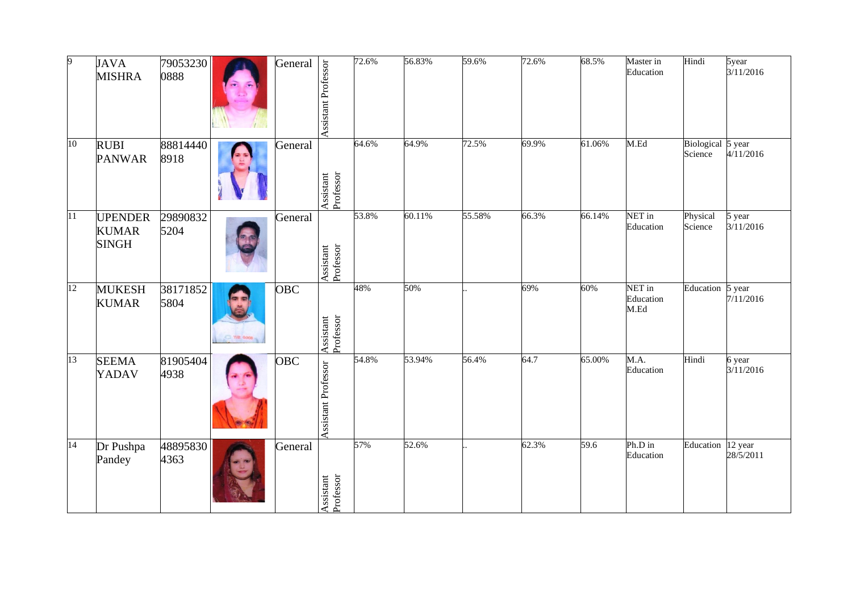| Q.              | <b>JAVA</b><br><b>MISHRA</b>                   | 79053230<br>0888 |            | General    | Assistant Professor    | 72.6% | 56.83% | 59.6%  | 72.6% | 68.5%  | Master in<br>Education      | Hindi                        | 5year<br>3/11/2016   |
|-----------------|------------------------------------------------|------------------|------------|------------|------------------------|-------|--------|--------|-------|--------|-----------------------------|------------------------------|----------------------|
| $\overline{10}$ | <b>RUBI</b><br><b>PANWAR</b>                   | 88814440<br>8918 |            | General    | Assistant<br>Professor | 64.6% | 64.9%  | 72.5%  | 69.9% | 61.06% | M.Ed                        | Biological 5 year<br>Science | 4/11/2016            |
| 11              | <b>UPENDER</b><br><b>KUMAR</b><br><b>SINGH</b> | 29890832<br>5204 |            | General    | Assistant<br>Professor | 53.8% | 60.11% | 55.58% | 66.3% | 66.14% | NET in<br>Education         | Physical<br>Science          | 5 year<br>3/11/2016  |
| 12              | <b>MUKESH</b><br><b>KUMAR</b>                  | 38171852<br>5804 | ○ 11图 6000 | <b>OBC</b> | Assistant<br>Professor | 48%   | 50%    |        | 69%   | 60%    | NET in<br>Education<br>M.Ed | Education                    | 5 year<br>7/11/2016  |
| $\overline{13}$ | <b>SEEMA</b><br>YADAV                          | 81905404<br>4938 |            | OBC        | Assistant Professor    | 54.8% | 53.94% | 56.4%  | 64.7  | 65.00% | M.A.<br>Education           | Hindi                        | 6 year<br>3/11/2016  |
| $\overline{14}$ | Dr Pushpa<br>Pandey                            | 48895830<br>4363 |            | General    | Assistant<br>Professor | 57%   | 52.6%  |        | 62.3% | 59.6   | Ph.D in<br>Education        | Education                    | 12 year<br>28/5/2011 |